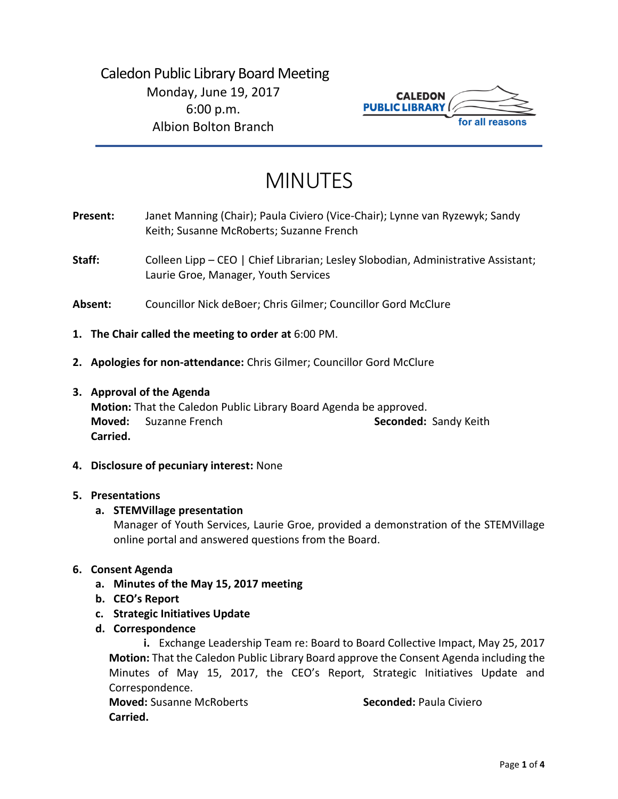

# MINUTES

- **Present:** Janet Manning (Chair); Paula Civiero (Vice-Chair); Lynne van Ryzewyk; Sandy Keith; Susanne McRoberts; Suzanne French
- Staff: Colleen Lipp CEO | Chief Librarian; Lesley Slobodian, Administrative Assistant; Laurie Groe, Manager, Youth Services
- **Absent:** Councillor Nick deBoer; Chris Gilmer; Councillor Gord McClure
- **1. The Chair called the meeting to order at** 6:00 PM.
- **2. Apologies for non-attendance:** Chris Gilmer; Councillor Gord McClure
- **3. Approval of the Agenda**

**Motion:** That the Caledon Public Library Board Agenda be approved. **Moved:** Suzanne French **Seconded:** Sandy Keith **Carried.**

**4. Disclosure of pecuniary interest:** None

## **5. Presentations**

# **a. STEMVillage presentation**

Manager of Youth Services, Laurie Groe, provided a demonstration of the STEMVillage online portal and answered questions from the Board.

# **6. Consent Agenda**

- **a. Minutes of the May 15, 2017 meeting**
- **b. CEO's Report**
- **c. Strategic Initiatives Update**
- **d. Correspondence**

**i.** Exchange Leadership Team re: Board to Board Collective Impact, May 25, 2017 **Motion:** That the Caledon Public Library Board approve the Consent Agenda including the Minutes of May 15, 2017, the CEO's Report, Strategic Initiatives Update and Correspondence.

**Moved:** Susanne McRoberts **Seconded:** Paula Civiero **Carried.**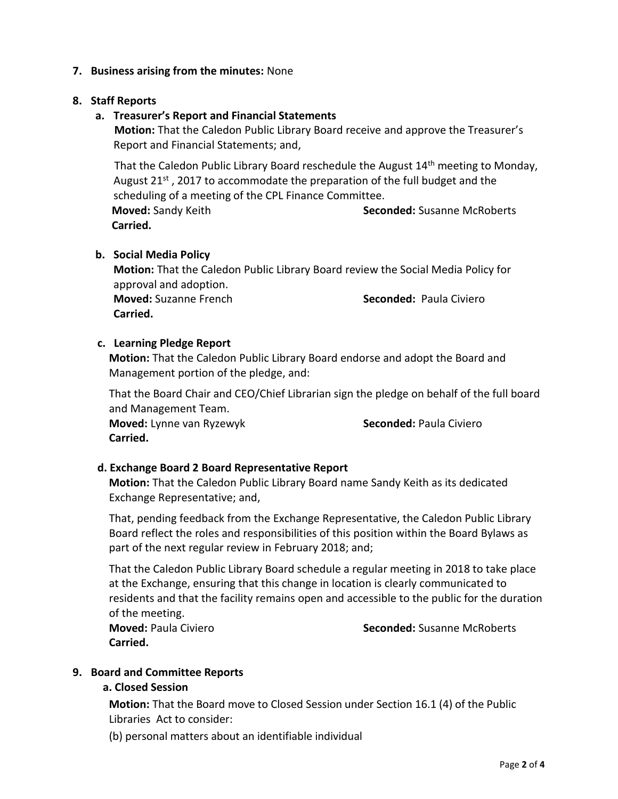# **7. Business arising from the minutes:** None

# **8. Staff Reports**

# **a. Treasurer's Report and Financial Statements**

**Motion:** That the Caledon Public Library Board receive and approve the Treasurer's Report and Financial Statements; and,

That the Caledon Public Library Board reschedule the August 14<sup>th</sup> meeting to Monday, August 21<sup>st</sup>, 2017 to accommodate the preparation of the full budget and the scheduling of a meeting of the CPL Finance Committee.

**Moved:** Sandy Keith **Seconded:** Susanne McRoberts **Carried.** 

## **b. Social Media Policy**

**Motion:** That the Caledon Public Library Board review the Social Media Policy for approval and adoption.

**Moved:** Suzanne French **Seconded:** Paula Civiero **Carried.** 

## **c. Learning Pledge Report**

**Motion:** That the Caledon Public Library Board endorse and adopt the Board and Management portion of the pledge, and:

That the Board Chair and CEO/Chief Librarian sign the pledge on behalf of the full board and Management Team.

**Moved:** Lynne van Ryzewyk **Seconded:** Paula Civiero **Carried.**

# **d. Exchange Board 2 Board Representative Report**

**Motion:** That the Caledon Public Library Board name Sandy Keith as its dedicated Exchange Representative; and,

That, pending feedback from the Exchange Representative, the Caledon Public Library Board reflect the roles and responsibilities of this position within the Board Bylaws as part of the next regular review in February 2018; and;

That the Caledon Public Library Board schedule a regular meeting in 2018 to take place at the Exchange, ensuring that this change in location is clearly communicated to residents and that the facility remains open and accessible to the public for the duration of the meeting.

**Carried.** 

**Moved:** Paula Civiero **Seconded:** Susanne McRoberts

# **9. Board and Committee Reports**

# **a. Closed Session**

**Motion:** That the Board move to Closed Session under Section 16.1 (4) of the Public Libraries Act to consider:

(b) personal matters about an identifiable individual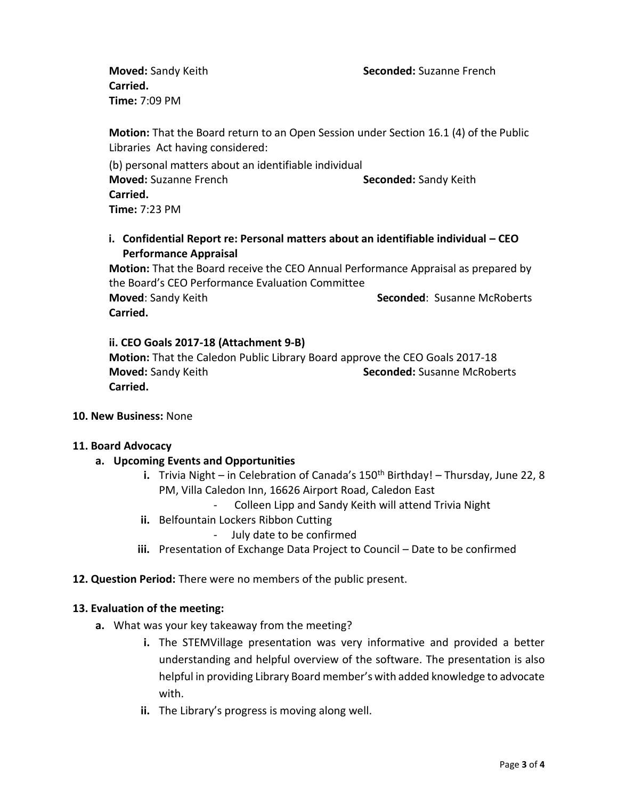**Moved:** Sandy Keith **Seconded:** Suzanne French

**Carried. Time:** 7:09 PM

**Motion:** That the Board return to an Open Session under Section 16.1 (4) of the Public Libraries Act having considered:

(b) personal matters about an identifiable individual **Moved:** Suzanne French **Suzanne Seconded:** Sandy Keith **Carried. Time:** 7:23 PM

**i. Confidential Report re: Personal matters about an identifiable individual – CEO Performance Appraisal**

**Motion:** That the Board receive the CEO Annual Performance Appraisal as prepared by the Board's CEO Performance Evaluation Committee **Moved:** Sandy Keith **Seconded: Susanne McRoberts Seconded: Susanne McRoberts Carried.**

# **ii. CEO Goals 2017-18 (Attachment 9-B)**

**Motion:** That the Caledon Public Library Board approve the CEO Goals 2017-18 **Moved:** Sandy Keith **Seconded:** Susanne McRoberts **Carried.** 

**10. New Business:** None

## **11. Board Advocacy**

- **a. Upcoming Events and Opportunities**
	- **i.** Trivia Night in Celebration of Canada's 150<sup>th</sup> Birthday! Thursday, June 22, 8 PM, Villa Caledon Inn, 16626 Airport Road, Caledon East
		- Colleen Lipp and Sandy Keith will attend Trivia Night
	- **ii.** Belfountain Lockers Ribbon Cutting
		- July date to be confirmed
	- **iii.** Presentation of Exchange Data Project to Council Date to be confirmed

## **12. Question Period:** There were no members of the public present.

## **13. Evaluation of the meeting:**

- **a.** What was your key takeaway from the meeting?
	- **i.** The STEMVillage presentation was very informative and provided a better understanding and helpful overview of the software. The presentation is also helpful in providing Library Board member's with added knowledge to advocate with.
	- **ii.** The Library's progress is moving along well.